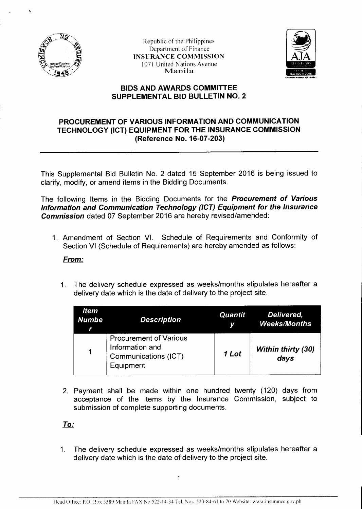

Republic of the Philippines Department of Finance INSURANCE COMMISSION 1071 United Nations Avenue Manila



## **BIDS AND AWARDS COMMITTEE SUPPLEMENTAL BID BULLETIN NO. 2**

## **PROCUREMENT OF VARIOUS INFORMATION AND COMMUNICATION TECHNOLOGY (ICT) EQUIPMENT FOR THE INSURANCE COMMISSION (Reference No. 16-07-203)**

This Supplemental Bid Bulletin No. 2 dated 15 September 2016 is being issued to clarify, modify, or amend items in the Bidding Documents.

The following Items in the Bidding Documents for the **Procurement of Various Information and Communication Technology (ICT) Equipment for the Insurance Commission** dated 07 September 2016 are hereby revised/amended:

1. Amendment of Section VI. Schedule of Requirements and Conformity of Section VI (Schedule of Requirements) are hereby amended as follows:

## **From:**

1. The delivery schedule expressed as weeks/months stipulates hereafter a delivery date which is the date of delivery to the project site.

| <b>Item</b><br><b>Numbe</b> | <b>Description</b>                                                                    | <b>Quantit</b> | Delivered,<br><b>Weeks/Months</b> |
|-----------------------------|---------------------------------------------------------------------------------------|----------------|-----------------------------------|
| 1                           | <b>Procurement of Various</b><br>Information and<br>Communications (ICT)<br>Equipment | 1 Lot          | <b>Within thirty (30)</b><br>days |

2. Payment shall be made within one hundred twenty (120) days from acceptance of the items by the Insurance Commission, subject to submission of complete supporting documents.

**To:** 

1. The delivery schedule expressed as weeks/months stipulates hereafter a delivery date which is the date of delivery to the project site.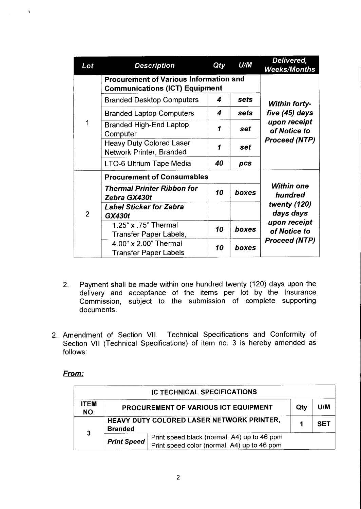| Lot            | <b>Description</b>                                                                     | Qty | U/M   | Delivered,<br><b>Weeks/Months</b>         |  |
|----------------|----------------------------------------------------------------------------------------|-----|-------|-------------------------------------------|--|
|                | <b>Procurement of Various Information and</b><br><b>Communications (ICT) Equipment</b> |     |       |                                           |  |
|                | <b>Branded Desktop Computers</b>                                                       | 4   | sets  | <b>Within forty-</b>                      |  |
|                | <b>Branded Laptop Computers</b>                                                        | 4   | sets  | five (45) days                            |  |
| 1              | <b>Branded High-End Laptop</b><br>Computer                                             | 1   | set   | upon receipt<br>of Notice to              |  |
|                | <b>Heavy Duty Colored Laser</b><br>Network Printer, Branded                            | 1   | set   | <b>Proceed (NTP)</b>                      |  |
|                | LTO-6 Ultrium Tape Media                                                               | 40  | pcs   |                                           |  |
|                | <b>Procurement of Consumables</b>                                                      |     |       |                                           |  |
| $\overline{2}$ | <b>Thermal Printer Ribbon for</b><br>Zebra GX430t                                      | 10  | boxes | <b>Within one</b><br>hundred              |  |
|                | <b>Label Sticker for Zebra</b>                                                         |     |       | twenty (120)                              |  |
|                | <b>GX430t</b>                                                                          |     |       | days days<br>upon receipt<br>of Notice to |  |
|                | 1.25" x .75" Thermal<br>Transfer Paper Labels,                                         | 10  | boxes |                                           |  |
|                | 4.00" x 2.00" Thermal<br><b>Transfer Paper Labels</b>                                  | 10  | boxes | <b>Proceed (NTP)</b>                      |  |

- 2. Payment shall be made within one hundred twenty (120) days upon the delivery and acceptance of the items per lot by the Insurance Commission, subject to the submission of complete supporting documents.
- 2. Amendment of Section VII. Technical Specifications and Conformity of Section VII (Technical Specifications) of item no. 3 is hereby amended as follows:

## **From:**

 $\tilde{\chi}$ 

|                    |                                                             | <b>IC TECHNICAL SPECIFICATIONS</b>                                                         |     |            |
|--------------------|-------------------------------------------------------------|--------------------------------------------------------------------------------------------|-----|------------|
| <b>ITEM</b><br>NO. |                                                             | PROCUREMENT OF VARIOUS ICT EQUIPMENT                                                       | Qty | U/M        |
| $\mathbf{3}$       | HEAVY DUTY COLORED LASER NETWORK PRINTER,<br><b>Branded</b> |                                                                                            |     | <b>SET</b> |
|                    | <b>Print Speed</b>                                          | Print speed black (normal, A4) up to 46 ppm<br>Print speed color (normal, A4) up to 46 ppm |     |            |